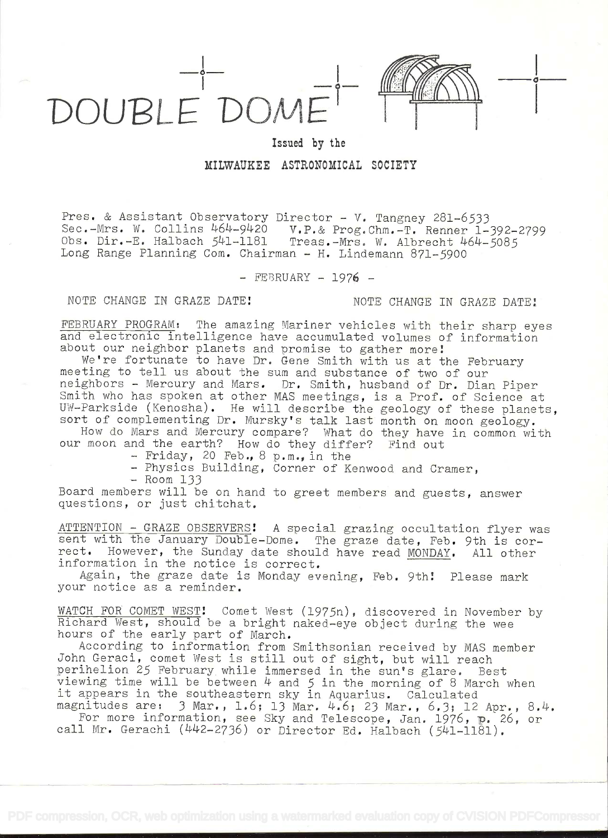

## Issued by the MILWAUKEE ASTRONOMICAL SOCIETY

Pres. & Assistant Observatory Director - V. Tangney 281-6533 Sec.-Mrs. W. Collins 464\_9LI2O V.P.& Prog.Chrn.-T. Renner 1-392-2799 Obs. Dir.-E. Halbach 541-1181 Treas.-Mrs. W. Albrecht 464-5085 Long Range Planning Com. Chairman - H. Lindemann 871-5900

 $-$  FEBRUARY  $-$  1976  $-$ 

NOTE CHANGE IN GRAZE DATE! NOTE CHANGE IN GRAZE DATE!

FEBRUARY PROGRAM: The amazing Mariner vehicles with their sharp eyes and electronic intelligence have accumulated volumes of information about our neighbor planets and promise to gather more!

We're fortunate to have Dr. Gene Smith with us at the February meeting to tell us about the sum and substance of two of our neighbors - Mercury and Mars. Dr. Smith, husband of Dr. Dian Piper Smith who has spoken at other MAS meetings, is a Prof. of Science at UW-Parkside (Kenosha). He will describe the geology of these planets, sort of complementing Dr. Mursky's talk last month on moon geology.

How do Mars and Mercury compare? What do they have in common with our moon and the earth? How do they differ? Find out

- Friday, 20 Feb., 8 p.m., in the

- Physics Building, Corner of Kenwood and Cramer,

 $-$  Room  $133$ 

Board members will be on hand to greet members and guests, answer questions, or just chitchat.

ATTENTION - GRAZE OBSERVERS! A special grazing occultation flyer was sent with the January Double-Dome. The graze date, Feb. 9th is correct. However, the Sunday date should have read MONDAY. All other information in the notice is correct.

Again, the graze date is Monday evening, Feb. 9th! Please mark your notice as a reminder.

WATCH FOR COMET WEST! Comet West (1975n), discovered in November by Richard West, should be a bright naked-eye object during the wee hours of the early part of March.

According to information from Smithsonian received by MAS member John Geraci, comet West is still out of sight, but will reach perihelion 25 February while immersed in the sun's glare. Best viewing time will be between  $4$  and  $5$  in the morning of 8 March when it appears in the southeastern sky in Aquarius. Calculated magnitudes are: 3 Mar., 1.6; 13 Mar. 4.6; 23 Mar., 6.3; 12 Apr., 8.4.

For more information, see Sky and Telescope, Jan. 1976, p. 26, or call Mr. Gerachi  $(442-2736)$  or Director Ed. Halbach ( $541-1181$ ).